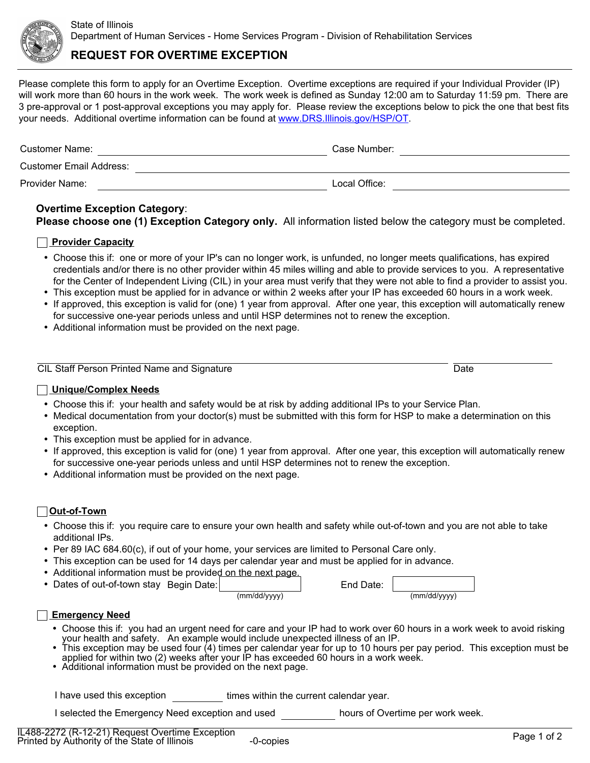

# **REQUEST FOR OVERTIME EXCEPTION**

Please complete this form to apply for an Overtime Exception. Overtime exceptions are required if your Individual Provider (IP) will work more than 60 hours in the work week. The work week is defined as Sunday 12:00 am to Saturday 11:59 pm. There are 3 pre-approval or 1 post-approval exceptions you may apply for. Please review the exceptions below to pick the one that best fits your needs. Additional overtime information can be found at <www.DRS.Illinois.gov/HSP/OT>.

| Customer Name:                 | Case Number:  |
|--------------------------------|---------------|
| <b>Customer Email Address:</b> |               |
| Provider Name:                 | Local Office: |

## **Overtime Exception Category**: **Please choose one (1) Exception Category only.** All information listed below the category must be completed.

### **Provider Capacity**

- Choose this if: one or more of your IP's can no longer work, is unfunded, no longer meets qualifications, has expired credentials and/or there is no other provider within 45 miles willing and able to provide services to you. A representative for the Center of Independent Living (CIL) in your area must verify that they were not able to find a provider to assist you.
- This exception must be applied for in advance or within 2 weeks after your IP has exceeded 60 hours in a work week.
- If approved, this exception is valid for (one) 1 year from approval. After one year, this exception will automatically renew for successive one-year periods unless and until HSP determines not to renew the exception.
- Additional information must be provided on the next page.

| <b>CIL Staff Person Printed Name and Signature</b> |  |
|----------------------------------------------------|--|

### **Unique/Complex Needs**

- Choose this if: your health and safety would be at risk by adding additional IPs to your Service Plan.
- Medical documentation from your doctor(s) must be submitted with this form for HSP to make a determination on this exception.
- This exception must be applied for in advance.
- If approved, this exception is valid for (one) 1 year from approval. After one year, this exception will automatically renew for successive one-year periods unless and until HSP determines not to renew the exception.
- Additional information must be provided on the next page.

### **Out-of-Town**

- Choose this if: you require care to ensure your own health and safety while out-of-town and you are not able to take additional IPs.
- Per 89 IAC 684.60(c), if out of your home, your services are limited to Personal Care only.
- This exception can be used for 14 days per calendar year and must be applied for in advance.
- Additional information must be provided on the next page.
- Dates of out-of-town stay Begin Date:

|              | Luu van |
|--------------|---------|
| (mm/dd/yyyy) |         |
|              |         |

| End Date: |              |
|-----------|--------------|
|           | (mm/dd/yyyy) |

### **Emergency Need**

- Choose this if: you had an urgent need for care and your IP had to work over 60 hours in a work week to avoid risking your health and safety. An example would include unexpected illness of an IP.
- This exception may be used four (4) times per calendar year for up to 10 hours per pay period. This exception must be applied for within two (2) weeks after your IP has exceeded 60 hours in a work week.
- Additional information must be provided on the next page.

I have used this exception **times** within the current calendar year.

I selected the Emergency Need exception and used hours of Overtime per work week.